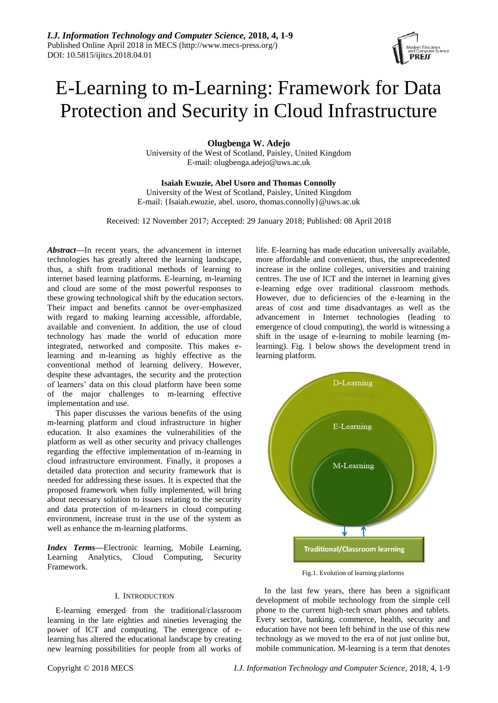# E-Learning to m-Learning: Framework for Data Protection and Security in Cloud Infrastructure

**Olugbenga W. Adejo**

University of the West of Scotland, Paisley, United Kingdom E-mail: olugbenga.adejo@uws.ac.uk

**Isaiah Ewuzie, Abel Usoro and Thomas Connolly**

University of the West of Scotland, Paisley, United Kingdom E-mail: {Isaiah.ewuzie, abel. usoro, thomas.connolly}@uws.ac.uk

Received: 12 November 2017; Accepted: 29 January 2018; Published: 08 April 2018

*Abstract***—**In recent years, the advancement in internet technologies has greatly altered the learning landscape, thus, a shift from traditional methods of learning to internet based learning platforms. E-learning, m-learning and cloud are some of the most powerful responses to these growing technological shift by the education sectors. Their impact and benefits cannot be over-emphasized with regard to making learning accessible, affordable, available and convenient. In addition, the use of cloud technology has made the world of education more integrated, networked and composite. This makes elearning and m-learning as highly effective as the conventional method of learning delivery. However, despite these advantages, the security and the protection of learners' data on this cloud platform have been some of the major challenges to m-learning effective implementation and use.

This paper discusses the various benefits of the using m-learning platform and cloud infrastructure in higher education. It also examines the vulnerabilities of the platform as well as other security and privacy challenges regarding the effective implementation of m-learning in cloud infrastructure environment. Finally, it proposes a detailed data protection and security framework that is needed for addressing these issues. It is expected that the proposed framework when fully implemented, will bring about necessary solution to issues relating to the security and data protection of m-learners in cloud computing environment, increase trust in the use of the system as well as enhance the m-learning platforms.

*Index Terms***—**Electronic learning, Mobile Learning, Learning Analytics, Cloud Computing, Security Framework.

# I. INTRODUCTION

E-learning emerged from the traditional/classroom learning in the late eighties and nineties leveraging the power of ICT and computing. The emergence of elearning has altered the educational landscape by creating new learning possibilities for people from all works of life. E-learning has made education universally available, more affordable and convenient, thus, the unprecedented increase in the online colleges, universities and training centres. The use of ICT and the internet in learning gives e-learning edge over traditional classroom methods. However, due to deficiencies of the e-learning in the areas of cost and time disadvantages as well as the advancement in Internet technologies (leading to emergence of cloud computing), the world is witnessing a shift in the usage of e-learning to mobile learning (mlearning). Fig. 1 below shows the development trend in learning platform.



Fig.1. Evolution of learning platforms

In the last few years, there has been a significant development of mobile technology from the simple cell phone to the current high-tech smart phones and tablets. Every sector, banking, commerce, health, security and education have not been left behind in the use of this new technology as we moved to the era of not just online but, mobile communication. M-learning is a term that denotes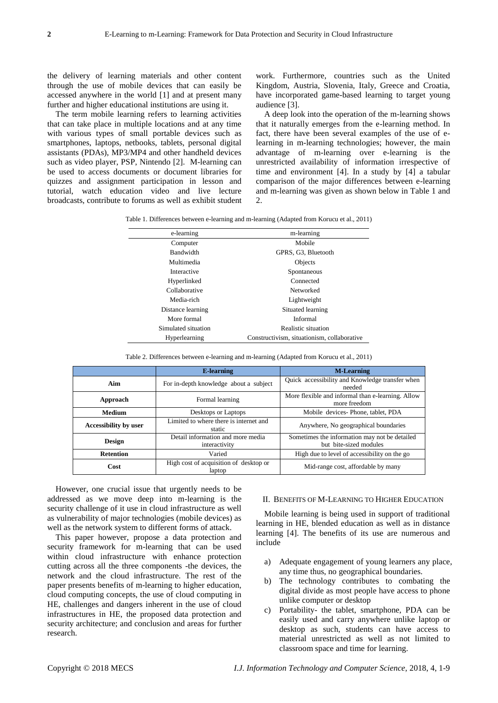the delivery of learning materials and other content through the use of mobile devices that can easily be accessed anywhere in the world [1] and at present many further and higher educational institutions are using it.

The term mobile learning refers to learning activities that can take place in multiple locations and at any time with various types of small portable devices such as smartphones, laptops, netbooks, tablets, personal digital assistants (PDAs), MP3/MP4 and other handheld devices such as video player, PSP, Nintendo [2]. M-learning can be used to access documents or document libraries for quizzes and assignment participation in lesson and tutorial, watch education video and live lecture broadcasts, contribute to forums as well as exhibit student work. Furthermore, countries such as the United Kingdom, Austria, Slovenia, Italy, Greece and Croatia, have incorporated game-based learning to target young audience [3].

A deep look into the operation of the m-learning shows that it naturally emerges from the e-learning method. In fact, there have been several examples of the use of elearning in m-learning technologies; however, the main advantage of m-learning over e-learning is the unrestricted availability of information irrespective of time and environment [4]. In a study by [4] a tabular comparison of the major differences between e-learning and m-learning was given as shown below in Table 1 and 2.

Table 1. Differences between e-learning and m-learning (Adapted from Korucu et al., 2011)

| e-learning          | m-learning                                  |
|---------------------|---------------------------------------------|
| Computer            | Mobile                                      |
| Bandwidth           | GPRS, G3, Bluetooth                         |
| Multimedia          | Objects                                     |
| Interactive         | Spontaneous                                 |
| Hyperlinked         | Connected                                   |
| Collaborative       | Networked                                   |
| Media-rich          | Lightweight                                 |
| Distance learning   | Situated learning                           |
| More formal         | Informal                                    |
| Simulated situation | Realistic situation                         |
| Hyperlearning       | Constructivism, situationism, collaborative |

Table 2. Differences between e-learning and m-learning (Adapted from Korucu et al., 2011)

|                       | <b>E-learning</b>                                  | <b>M-Learning</b>                                                       |  |  |  |
|-----------------------|----------------------------------------------------|-------------------------------------------------------------------------|--|--|--|
| Aim                   | For in-depth knowledge about a subject             | Quick accessibility and Knowledge transfer when<br>needed               |  |  |  |
| Approach              | Formal learning                                    | More flexible and informal than e-learning. Allow<br>more freedom       |  |  |  |
| <b>Medium</b>         | Desktops or Laptops                                | Mobile devices-Phone, tablet, PDA                                       |  |  |  |
| Accessibility by user | Limited to where there is internet and<br>static   | Anywhere, No geographical boundaries                                    |  |  |  |
| Design                | Detail information and more media<br>interactivity | Sometimes the information may not be detailed<br>but bite-sized modules |  |  |  |
| <b>Retention</b>      | Varied                                             | High due to level of accessibility on the go                            |  |  |  |
| Cost                  | High cost of acquisition of desktop or<br>laptop   | Mid-range cost, affordable by many                                      |  |  |  |

However, one crucial issue that urgently needs to be addressed as we move deep into m-learning is the security challenge of it use in cloud infrastructure as well as vulnerability of major technologies (mobile devices) as well as the network system to different forms of attack.

This paper however, propose a data protection and security framework for m-learning that can be used within cloud infrastructure with enhance protection cutting across all the three components -the devices, the network and the cloud infrastructure. The rest of the paper presents benefits of m-learning to higher education, cloud computing concepts, the use of cloud computing in HE, challenges and dangers inherent in the use of cloud infrastructures in HE, the proposed data protection and security architecture; and conclusion and areas for further research.

# II. BENEFITS OF M-LEARNING TO HIGHER EDUCATION

Mobile learning is being used in support of traditional learning in HE, blended education as well as in distance learning [4]. The benefits of its use are numerous and include

- a) Adequate engagement of young learners any place, any time thus, no geographical boundaries.
- b) The technology contributes to combating the digital divide as most people have access to phone unlike computer or desktop
- c) Portability- the tablet, smartphone, PDA can be easily used and carry anywhere unlike laptop or desktop as such, students can have access to material unrestricted as well as not limited to classroom space and time for learning.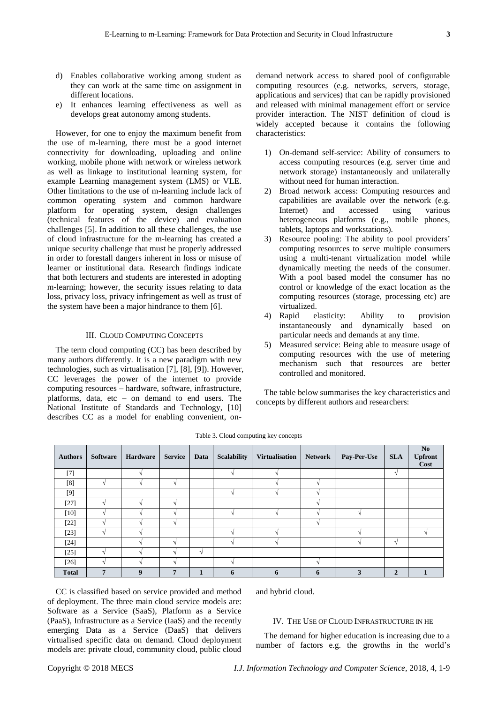- d) Enables collaborative working among student as they can work at the same time on assignment in different locations.
- e) It enhances learning effectiveness as well as develops great autonomy among students.

However, for one to enjoy the maximum benefit from the use of m-learning, there must be a good internet connectivity for downloading, uploading and online working, mobile phone with network or wireless network as well as linkage to institutional learning system, for example Learning management system (LMS) or VLE. Other limitations to the use of m-learning include lack of common operating system and common hardware platform for operating system, design challenges (technical features of the device) and evaluation challenges [5]. In addition to all these challenges, the use of cloud infrastructure for the m-learning has created a unique security challenge that must be properly addressed in order to forestall dangers inherent in loss or misuse of learner or institutional data. Research findings indicate that both lecturers and students are interested in adopting m-learning; however, the security issues relating to data loss, privacy loss, privacy infringement as well as trust of the system have been a major hindrance to them [6].

# III. CLOUD COMPUTING CONCEPTS

The term cloud computing (CC) has been described by many authors differently. It is a new paradigm with new technologies, such as virtualisation [7], [8], [9]). However, CC leverages the power of the internet to provide computing resources – hardware, software, infrastructure, platforms, data, etc  $-$  on demand to end users. The National Institute of Standards and Technology, [10] describes CC as a model for enabling convenient, ondemand network access to shared pool of configurable computing resources (e.g. networks, servers, storage, applications and services) that can be rapidly provisioned and released with minimal management effort or service provider interaction. The NIST definition of cloud is widely accepted because it contains the following characteristics:

- 1) On-demand self-service: Ability of consumers to access computing resources (e.g. server time and network storage) instantaneously and unilaterally without need for human interaction.
- 2) Broad network access: Computing resources and capabilities are available over the network (e.g. Internet) and accessed using various heterogeneous platforms (e.g., mobile phones, tablets, laptops and workstations).
- 3) Resource pooling: The ability to pool providers' computing resources to serve multiple consumers using a multi-tenant virtualization model while dynamically meeting the needs of the consumer. With a pool based model the consumer has no control or knowledge of the exact location as the computing resources (storage, processing etc) are virtualized.
- 4) Rapid elasticity: Ability to provision instantaneously and dynamically based on particular needs and demands at any time.
- 5) Measured service: Being able to measure usage of computing resources with the use of metering mechanism such that resources are better controlled and monitored.

The table below summarises the key characteristics and concepts by different authors and researchers:

| <b>Authors</b> | Software       | <b>Hardware</b>  | <b>Service</b> | Data       | <b>Scalability</b> | <b>Virtualisation</b> | <b>Network</b>           | Pay-Per-Use | <b>SLA</b>     | N <sub>0</sub><br><b>Upfront</b><br>Cost |
|----------------|----------------|------------------|----------------|------------|--------------------|-----------------------|--------------------------|-------------|----------------|------------------------------------------|
| $[7]$          |                | $\Delta$         |                |            |                    |                       |                          |             | V              |                                          |
| [8]            | $\sqrt{ }$     | $\sim$           | $\sqrt{ }$     |            |                    |                       | $\Delta$                 |             |                |                                          |
| [9]            |                |                  |                |            |                    |                       |                          |             |                |                                          |
| $[27]$         | $\Delta$       | $\Delta$         | $\Delta$       |            |                    |                       |                          |             |                |                                          |
| $[10]$         | $\sim$         | $\Delta$         |                |            |                    |                       |                          |             |                |                                          |
| $[22]$         | $\Delta$       |                  | $\sim$         |            |                    |                       | $\overline{\phantom{a}}$ |             |                |                                          |
| $[23]$         | $\sim$         |                  |                |            |                    |                       |                          |             |                |                                          |
| $[24]$         |                | $\Delta$         | $\sim$         |            |                    |                       |                          |             | V              |                                          |
| $[25]$         | N              | $\Delta$         | $\sim$         | $\sqrt{ }$ |                    |                       |                          |             |                |                                          |
| $[26]$         |                |                  |                |            |                    |                       |                          |             |                |                                          |
| <b>Total</b>   | $\overline{7}$ | $\boldsymbol{9}$ | $\overline{7}$ | 1          | 6                  | 6                     | 6                        | 3           | $\overline{2}$ |                                          |

Table 3. Cloud computing key concepts

CC is classified based on service provided and method of deployment. The three main cloud service models are: Software as a Service (SaaS), Platform as a Service (PaaS), Infrastructure as a Service (IaaS) and the recently emerging Data as a Service (DaaS) that delivers virtualised specific data on demand. Cloud deployment models are: private cloud, community cloud, public cloud and hybrid cloud.

#### IV. THE USE OF CLOUD INFRASTRUCTURE IN HE

The demand for higher education is increasing due to a number of factors e.g. the growths in the world's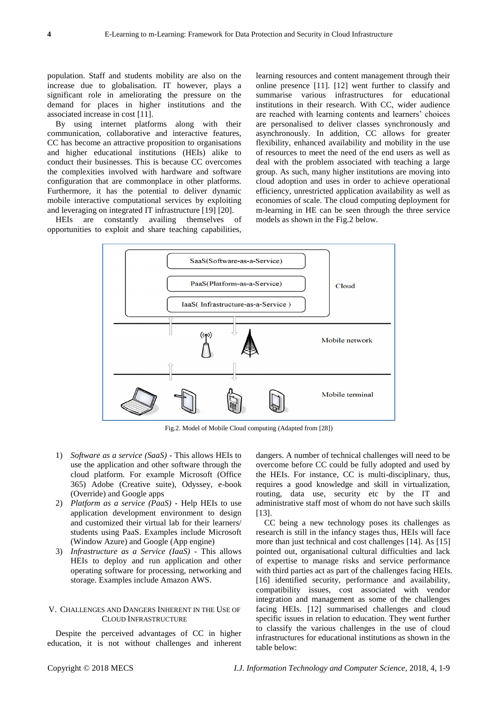population. Staff and students mobility are also on the increase due to globalisation. IT however, plays a significant role in ameliorating the pressure on the demand for places in higher institutions and the associated increase in cost [11].

By using internet platforms along with their communication, collaborative and interactive features, CC has become an attractive proposition to organisations and higher educational institutions (HEIs) alike to conduct their businesses. This is because CC overcomes the complexities involved with hardware and software configuration that are commonplace in other platforms. Furthermore, it has the potential to deliver dynamic mobile interactive computational services by exploiting and leveraging on integrated IT infrastructure [19] [20].

HEIs are constantly availing themselves of opportunities to exploit and share teaching capabilities, learning resources and content management through their online presence [11]. [12] went further to classify and summarise various infrastructures for educational institutions in their research. With CC, wider audience are reached with learning contents and learners' choices are personalised to deliver classes synchronously and asynchronously. In addition, CC allows for greater flexibility, enhanced availability and mobility in the use of resources to meet the need of the end users as well as deal with the problem associated with teaching a large group. As such, many higher institutions are moving into cloud adoption and uses in order to achieve operational efficiency, unrestricted application availability as well as economies of scale. The cloud computing deployment for m-learning in HE can be seen through the three service models as shown in the Fig.2 below.



Fig.2. Model of Mobile Cloud computing (Adapted from [28])

- 1) *Software as a service (SaaS) -* This allows HEIs to use the application and other software through the cloud platform. For example Microsoft (Office 365) Adobe (Creative suite), Odyssey, e-book (Override) and Google apps
- 2) *Platform as a service (PaaS) -* Help HEIs to use application development environment to design and customized their virtual lab for their learners/ students using PaaS. Examples include Microsoft (Window Azure) and Google (App engine)
- 3) *Infrastructure as a Service (IaaS) -* This allows HEIs to deploy and run application and other operating software for processing, networking and storage. Examples include Amazon AWS.

#### V. CHALLENGES AND DANGERS INHERENT IN THE USE OF CLOUD INFRASTRUCTURE

Despite the perceived advantages of CC in higher education, it is not without challenges and inherent dangers. A number of technical challenges will need to be overcome before CC could be fully adopted and used by the HEIs. For instance, CC is multi-disciplinary, thus, requires a good knowledge and skill in virtualization, routing, data use, security etc by the IT and administrative staff most of whom do not have such skills [13].

CC being a new technology poses its challenges as research is still in the infancy stages thus, HEIs will face more than just technical and cost challenges [14]. As [15] pointed out, organisational cultural difficulties and lack of expertise to manage risks and service performance with third parties act as part of the challenges facing HEIs. [16] identified security, performance and availability, compatibility issues, cost associated with vendor integration and management as some of the challenges facing HEIs. [12] summarised challenges and cloud specific issues in relation to education. They went further to classify the various challenges in the use of cloud infrastructures for educational institutions as shown in the table below: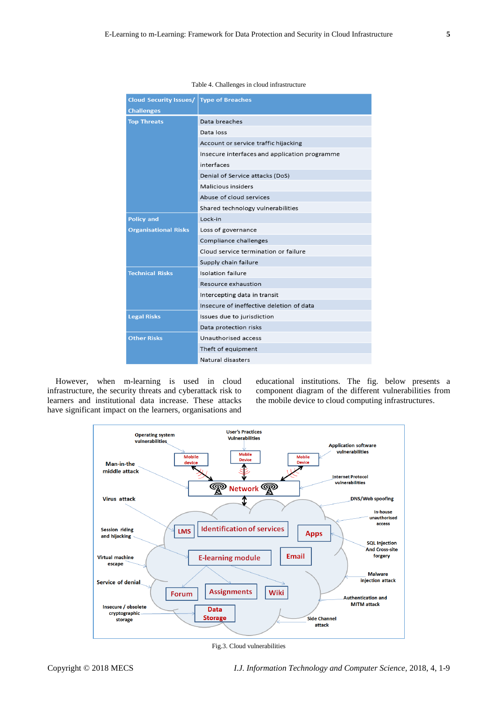| <b>Cloud Security Issues/ Type of Breaches</b> |                                               |
|------------------------------------------------|-----------------------------------------------|
| <b>Challenges</b>                              |                                               |
| <b>Top Threats</b>                             | Data breaches                                 |
|                                                | Data loss                                     |
|                                                | Account or service traffic hijacking          |
|                                                | Insecure interfaces and application programme |
|                                                | interfaces                                    |
|                                                | Denial of Service attacks (DoS)               |
|                                                | Malicious insiders                            |
|                                                | Abuse of cloud services                       |
|                                                | Shared technology vulnerabilities             |
| <b>Policy and</b>                              | Lock-in                                       |
| <b>Organisational Risks</b>                    | Loss of governance                            |
|                                                | Compliance challenges                         |
|                                                | Cloud service termination or failure          |
|                                                | Supply chain failure                          |
| <b>Technical Risks</b>                         | Isolation failure                             |
|                                                | Resource exhaustion                           |
|                                                | Intercepting data in transit                  |
|                                                | Insecure of ineffective deletion of data      |
| <b>Legal Risks</b>                             | Issues due to jurisdiction                    |
|                                                | Data protection risks                         |
| <b>Other Risks</b>                             | Unauthorised access                           |
|                                                | Theft of equipment                            |
|                                                | Natural disasters                             |

#### Table 4. Challenges in cloud infrastructure

However, when m-learning is used in cloud infrastructure, the security threats and cyberattack risk to learners and institutional data increase. These attacks have significant impact on the learners, organisations and educational institutions. The fig. below presents a component diagram of the different vulnerabilities from the mobile device to cloud computing infrastructures.



Fig.3. Cloud vulnerabilities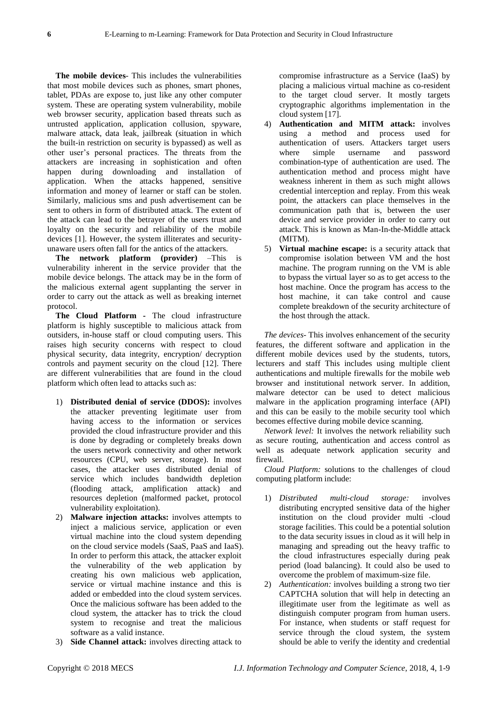**The mobile devices**- This includes the vulnerabilities that most mobile devices such as phones, smart phones, tablet, PDAs are expose to, just like any other computer system. These are operating system vulnerability, mobile web browser security, application based threats such as untrusted application, application collusion, spyware, malware attack, data leak, jailbreak (situation in which the built-in restriction on security is bypassed) as well as other user's personal practices. The threats from the attackers are increasing in sophistication and often happen during downloading and installation of application. When the attacks happened, sensitive information and money of learner or staff can be stolen. Similarly, malicious sms and push advertisement can be sent to others in form of distributed attack. The extent of the attack can lead to the betrayer of the users trust and loyalty on the security and reliability of the mobile devices [1]. However, the system illiterates and securityunaware users often fall for the antics of the attackers.

**The network platform (provider)** –This is vulnerability inherent in the service provider that the mobile device belongs. The attack may be in the form of the malicious external agent supplanting the server in order to carry out the attack as well as breaking internet protocol.

**The Cloud Platform -** The cloud infrastructure platform is highly susceptible to malicious attack from outsiders, in-house staff or cloud computing users. This raises high security concerns with respect to cloud physical security, data integrity, encryption/ decryption controls and payment security on the cloud [12]. There are different vulnerabilities that are found in the cloud platform which often lead to attacks such as:

- 1) **Distributed denial of service (DDOS):** involves the attacker preventing legitimate user from having access to the information or services provided the cloud infrastructure provider and this is done by degrading or completely breaks down the users network connectivity and other network resources (CPU, web server, storage). In most cases, the attacker uses distributed denial of service which includes bandwidth depletion (flooding attack, amplification attack) and resources depletion (malformed packet, protocol vulnerability exploitation).
- 2) **Malware injection attacks:** involves attempts to inject a malicious service, application or even virtual machine into the cloud system depending on the cloud service models (SaaS, PaaS and IaaS). In order to perform this attack, the attacker exploit the vulnerability of the web application by creating his own malicious web application, service or virtual machine instance and this is added or embedded into the cloud system services. Once the malicious software has been added to the cloud system, the attacker has to trick the cloud system to recognise and treat the malicious software as a valid instance.
- 3) **Side Channel attack:** involves directing attack to

compromise infrastructure as a Service (IaaS) by placing a malicious virtual machine as co-resident to the target cloud server. It mostly targets cryptographic algorithms implementation in the cloud system [17].

- 4) **Authentication and MITM attack:** involves using a method and process used for authentication of users. Attackers target users where simple username and password combination-type of authentication are used. The authentication method and process might have weakness inherent in them as such might allows credential interception and replay. From this weak point, the attackers can place themselves in the communication path that is, between the user device and service provider in order to carry out attack. This is known as Man-In-the-Middle attack (MITM).
- 5) **Virtual machine escape:** is a security attack that compromise isolation between VM and the host machine. The program running on the VM is able to bypass the virtual layer so as to get access to the host machine. Once the program has access to the host machine, it can take control and cause complete breakdown of the security architecture of the host through the attack.

*The devices-* This involves enhancement of the security features, the different software and application in the different mobile devices used by the students, tutors, lecturers and staff This includes using multiple client authentications and multiple firewalls for the mobile web browser and institutional network server. In addition, malware detector can be used to detect malicious malware in the application programing interface (API) and this can be easily to the mobile security tool which becomes effective during mobile device scanning.

*Network level:* It involves the network reliability such as secure routing, authentication and access control as well as adequate network application security and firewall.

*Cloud Platform:* solutions to the challenges of cloud computing platform include:

- 1) *Distributed multi-cloud storage:* involves distributing encrypted sensitive data of the higher institution on the cloud provider multi -cloud storage facilities. This could be a potential solution to the data security issues in cloud as it will help in managing and spreading out the heavy traffic to the cloud infrastructures especially during peak period (load balancing). It could also be used to overcome the problem of maximum-size file.
- 2) *Authentication:* involves building a strong two tier CAPTCHA solution that will help in detecting an illegitimate user from the legitimate as well as distinguish computer program from human users. For instance, when students or staff request for service through the cloud system, the system should be able to verify the identity and credential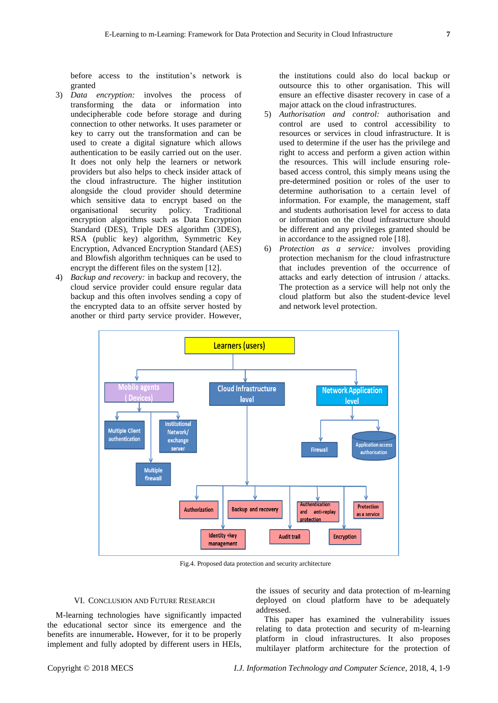before access to the institution's network is granted

- 3) *Data encryption:* involves the process of transforming the data or information into undecipherable code before storage and during connection to other networks. It uses parameter or key to carry out the transformation and can be used to create a digital signature which allows authentication to be easily carried out on the user. It does not only help the learners or network providers but also helps to check insider attack of the cloud infrastructure. The higher institution alongside the cloud provider should determine which sensitive data to encrypt based on the organisational security policy. Traditional encryption algorithms such as Data Encryption Standard (DES), Triple DES algorithm (3DES), RSA (public key) algorithm, Symmetric Key Encryption, Advanced Encryption Standard (AES) and Blowfish algorithm techniques can be used to encrypt the different files on the system [12].
- 4) *Backup and recovery:* in backup and recovery, the cloud service provider could ensure regular data backup and this often involves sending a copy of the encrypted data to an offsite server hosted by another or third party service provider. However,

the institutions could also do local backup or outsource this to other organisation. This will ensure an effective disaster recovery in case of a major attack on the cloud infrastructures.

- 5) *Authorisation and control:* authorisation and control are used to control accessibility to resources or services in cloud infrastructure. It is used to determine if the user has the privilege and right to access and perform a given action within the resources. This will include ensuring rolebased access control, this simply means using the pre-determined position or roles of the user to determine authorisation to a certain level of information. For example, the management, staff and students authorisation level for access to data or information on the cloud infrastructure should be different and any privileges granted should be in accordance to the assigned role [18].
- 6) *Protection as a service:* involves providing protection mechanism for the cloud infrastructure that includes prevention of the occurrence of attacks and early detection of intrusion / attacks. The protection as a service will help not only the cloud platform but also the student-device level and network level protection.



Fig.4. Proposed data protection and security architecture

# VI. CONCLUSION AND FUTURE RESEARCH

M-learning technologies have significantly impacted the educational sector since its emergence and the benefits are innumerable**.** However, for it to be properly implement and fully adopted by different users in HEIs,

the issues of security and data protection of m-learning deployed on cloud platform have to be adequately addressed.

This paper has examined the vulnerability issues relating to data protection and security of m-learning platform in cloud infrastructures. It also proposes multilayer platform architecture for the protection of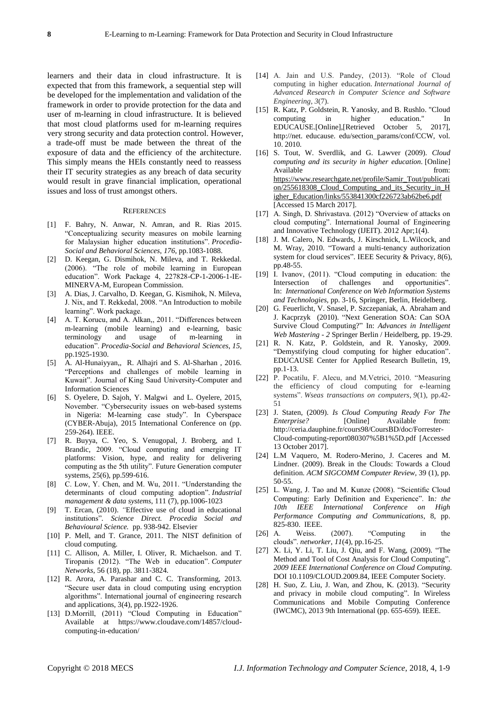learners and their data in cloud infrastructure. It is expected that from this framework, a sequential step will be developed for the implementation and validation of the framework in order to provide protection for the data and user of m-learning in cloud infrastructure. It is believed that most cloud platforms used for m-learning requires very strong security and data protection control. However, a trade-off must be made between the threat of the exposure of data and the efficiency of the architecture. This simply means the HEIs constantly need to reassess their IT security strategies as any breach of data security would result in grave financial implication, operational issues and loss of trust amongst others.

#### **REFERENCES**

- [1] F. Bahry, N. Anwar, N. Amran, and R. Rias 2015. "Conceptualizing security measures on mobile learning for Malaysian higher education institutions". *Procedia-Social and Behavioral Sciences*, *176*, pp.1083-1088.
- [2] D. Keegan, G. Dismihok, N. Mileva, and T. Rekkedal. (2006). "The role of mobile learning in European education". Work Package 4, 227828-CP-1-2006-1-IE-MINERVA-M, European Commission.
- [3] A. Dias, J. Carvalho, D. Keegan, G. Kismihok, N. Mileva, J. Nix, and T. Rekkedal, 2008. "An Introduction to mobile learning". Work package.
- [4] A. T. Korucu, and A. Alkan,, 2011. "Differences between m-learning (mobile learning) and e-learning, basic terminology and usage of m-learning in education". *Procedia-Social and Behavioral Sciences*, *15*, pp.1925-1930.
- [5] A. Al-Hunaiyyan,, R. Alhajri and S. Al-Sharhan , 2016. "Perceptions and challenges of mobile learning in Kuwait". Journal of King Saud University-Computer and Information Sciences
- [6] S. Oyelere, D. Sajoh, Y. Malgwi and L. Oyelere, 2015, November. "Cybersecurity issues on web-based systems in Nigeria: M-learning case study". In Cyberspace (CYBER-Abuja), 2015 International Conference on (pp. 259-264). IEEE.
- [7] R. Buyya, C. Yeo, S. Venugopal, J. Broberg, and I. Brandic, 2009. "Cloud computing and emerging IT platforms: Vision, hype, and reality for delivering computing as the 5th utility". Future Generation computer systems, 25(6), pp.599-616.
- [8] C. Low, Y. Chen, and M. Wu, 2011. "Understanding the determinants of cloud computing adoption". *Industrial management & data systems*, 111 (7), pp.1006-1023
- [9] T. Ercan, (2010). *"*Effective use of cloud in educational institutions"*. Science Direct. Procedia Social and Behavioural Science.* pp. 938-942. Elsevier
- [10] P. Mell, and T. Grance, 2011. The NIST definition of cloud computing.
- [11] C. Allison, A. Miller, I. Oliver, R. Michaelson. and T. Tiropanis (2012). "The Web in education". *Computer Networks*, 56 (18), pp. 3811-3824.
- [12] R. Arora, A. Parashar and C. C. Transforming, 2013. "Secure user data in cloud computing using encryption algorithms". International journal of engineering research and applications, 3(4), pp.1922-1926.
- [13] D.Morrill, (2011) "Cloud Computing in Education" Available at https://www.cloudave.com/14857/cloudcomputing-in-education/
- [14] A. Jain and U.S. Pandey, (2013). "Role of Cloud computing in higher education. *International Journal of Advanced Research in Computer Science and Software Engineering*, *3*(7).
- [15] R. Katz, P. Goldstein, R. Yanosky, and B. Rushlo. "Cloud computing in higher education." In EDUCAUSE.[Online],[Retrieved October 5, 2017], http://net. educause. edu/section\_params/conf/CCW, vol. 10. 2010.
- [16] S. Tout, W. Sverdlik, and G. Lawver (2009). *Cloud computing and its security in higher education.* [Online] Available from: from: [https://www.researchgate.net/profile/Samir\\_Tout/publicati](https://www.researchgate.net/profile/Samir_Tout/publication/255618308_Cloud_Computing_and_its_Security_in_Higher_Education/links/553841300cf226723ab62be6.pdf) [on/255618308\\_Cloud\\_Computing\\_and\\_its\\_Security\\_in\\_H](https://www.researchgate.net/profile/Samir_Tout/publication/255618308_Cloud_Computing_and_its_Security_in_Higher_Education/links/553841300cf226723ab62be6.pdf) [igher\\_Education/links/553841300cf226723ab62be6.pdf](https://www.researchgate.net/profile/Samir_Tout/publication/255618308_Cloud_Computing_and_its_Security_in_Higher_Education/links/553841300cf226723ab62be6.pdf) [Accessed 15 March 2017].
- [17] A. Singh, D. Shrivastava. (2012) "Overview of attacks on cloud computing". International Journal of Engineering and Innovative Technology (IJEIT). 2012 Apr;1(4).
- [18] J. M. Calero, N. Edwards, J. Kirschnick, L.Wilcock, and M. Wray, 2010. "Toward a multi-tenancy authorization system for cloud services". IEEE Security & Privacy, 8(6), pp.48-55.
- [19] I. Ivanov, (2011). "Cloud computing in education: the Intersection of challenges and opportunities". In: *International Conference on Web Information Systems and Technologies,* pp. 3-16, Springer, Berlin, Heidelberg.
- [20] G. Feuerlicht, V. Snasel, P. Szczepaniak, A. Abraham and J. Kacprzyk (2010). "Next Generation SOA: Can SOA Survive Cloud Computing?" In: *Advances in Intelligent Web Mastering - 2* Springer Berlin / Heidelberg, pp. 19-29.
- [21] R. N. Katz, P. Goldstein, and R. Yanosky, 2009. "Demystifying cloud computing for higher education". EDUCAUSE Center for Applied Research Bulletin, 19, pp.1-13.
- [22] P. Pocatilu, F. Alecu, and M.Vetrici, 2010. "Measuring the efficiency of cloud computing for e-learning systems". *Wseas transactions on computers*, *9*(1), pp.42- 51
- [23] J. Staten, (2009). *Is Cloud Computing Ready For The Enterprise?* [Online] Available from: http://ceria.dauphine.fr/cours98/CoursBD/doc/Forrester-Cloud-computing-report080307%5B1%5D.pdf [Accessed 13 October 2017].
- [24] L.M Vaquero, M. Rodero-Merino, J. Caceres and M. Lindner. (2009). Break in the Clouds: Towards a Cloud definition. *ACM SIGCOMM Computer Review,* 39 (1), pp. 50-55.
- [25] L. Wang, J. Tao and M. Kunze (2008). "Scientific Cloud Computing: Early Definition and Experience". In*: the 10th IEEE International Conference on High Performance Computing and Communications*, 8, pp. 825-830. IEEE.
- [26] A. Weiss. (2007). "Computing in the clouds". *networker*, *11*(4), pp.16-25.
- [27] X. Li, Y. Li, T. Liu, J. Qiu, and F. Wang, (2009). "The Method and Tool of Cost Analysis for Cloud Computing". *2009 IEEE International Conference on Cloud Computing.* DOI 10.1109/CLOUD.2009.84, IEEE Computer Society.
- [28] H. Suo, Z. Liu, J. Wan, and Zhou, K. (2013). "Security and privacy in mobile cloud computing". In Wireless Communications and Mobile Computing Conference (IWCMC), 2013 9th International (pp. 655-659). IEEE.